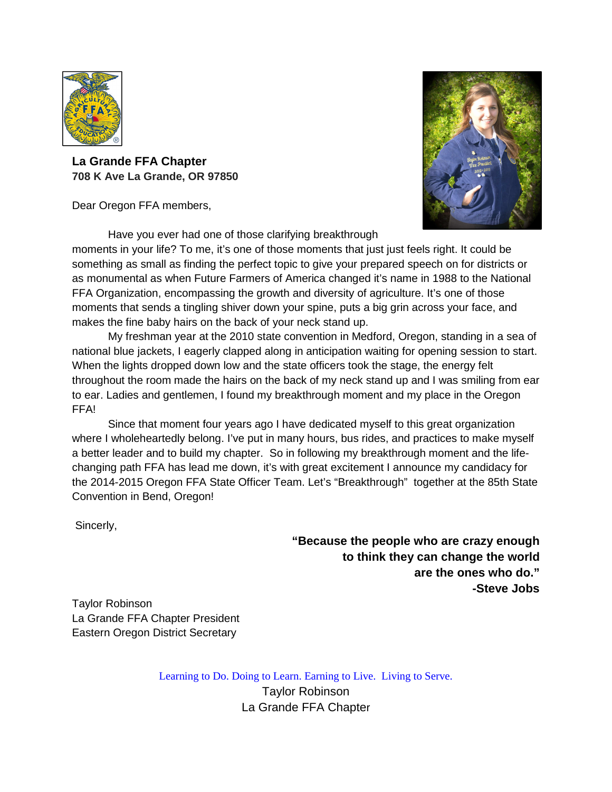

**La Grande FFA Chapter 708 K Ave La Grande, OR 97850**

Dear Oregon FFA members,

Have you ever had one of those clarifying breakthrough



moments in your life? To me, it's one of those moments that just just feels right. It could be something as small as finding the perfect topic to give your prepared speech on for districts or as monumental as when Future Farmers of America changed it's name in 1988 to the National FFA Organization, encompassing the growth and diversity of agriculture. It's one of those moments that sends a tingling shiver down your spine, puts a big grin across your face, and makes the fine baby hairs on the back of your neck stand up.

 My freshman year at the 2010 state convention in Medford, Oregon, standing in a sea of national blue jackets, I eagerly clapped along in anticipation waiting for opening session to start. When the lights dropped down low and the state officers took the stage, the energy felt throughout the room made the hairs on the back of my neck stand up and I was smiling from ear to ear. Ladies and gentlemen, I found my breakthrough moment and my place in the Oregon FFA!

Since that moment four years ago I have dedicated myself to this great organization where I wholeheartedly belong. I've put in many hours, bus rides, and practices to make myself a better leader and to build my chapter. So in following my breakthrough moment and the lifechanging path FFA has lead me down, it's with great excitement I announce my candidacy for the 2014-2015 Oregon FFA State Officer Team. Let's "Breakthrough" together at the 85th State Convention in Bend, Oregon!

Sincerly,

 **"Because the people who are crazy enough to think they can change the world are the ones who do." -Steve Jobs**

Taylor Robinson La Grande FFA Chapter President Eastern Oregon District Secretary

Learning to Do. Doing to Learn. Earning to Live. Living to Serve.

Taylor Robinson La Grande FFA Chapter